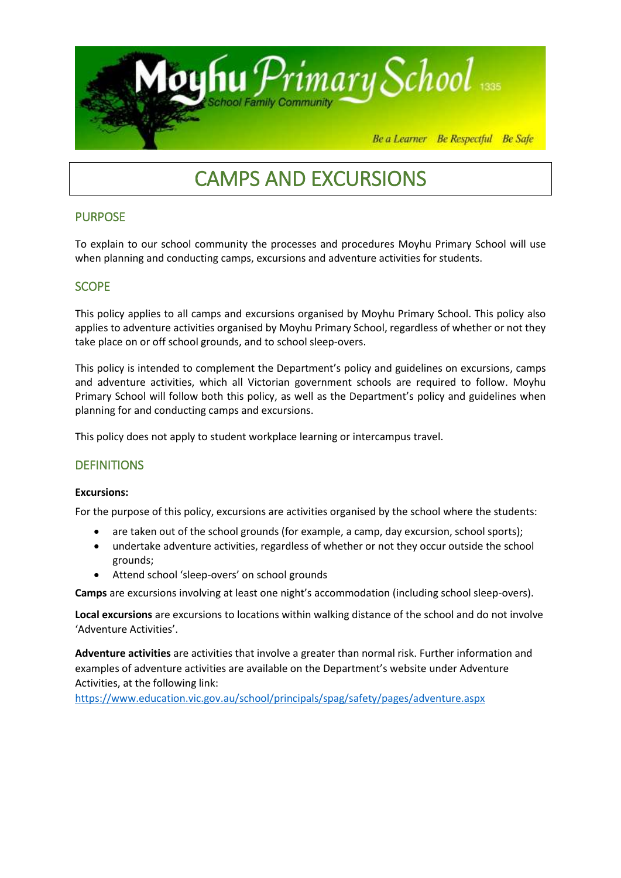

# CAMPS AND EXCURSIONS

# PURPOSE

To explain to our school community the processes and procedures Moyhu Primary School will use when planning and conducting camps, excursions and adventure activities for students.

# **SCOPE**

This policy applies to all camps and excursions organised by Moyhu Primary School. This policy also applies to adventure activities organised by Moyhu Primary School, regardless of whether or not they take place on or off school grounds, and to school sleep-overs.

This policy is intended to complement the Department's policy and guidelines on excursions, camps and adventure activities, which all Victorian government schools are required to follow. Moyhu Primary School will follow both this policy, as well as the Department's policy and guidelines when planning for and conducting camps and excursions.

This policy does not apply to student workplace learning or intercampus travel.

# **DEFINITIONS**

## **Excursions:**

For the purpose of this policy, excursions are activities organised by the school where the students:

- are taken out of the school grounds (for example, a camp, day excursion, school sports);
- undertake adventure activities, regardless of whether or not they occur outside the school grounds;
- Attend school 'sleep-overs' on school grounds

**Camps** are excursions involving at least one night's accommodation (including school sleep-overs).

**Local excursions** are excursions to locations within walking distance of the school and do not involve 'Adventure Activities'.

**Adventure activities** are activities that involve a greater than normal risk. Further information and examples of adventure activities are available on the Department's website under Adventure Activities, at the following link:

<https://www.education.vic.gov.au/school/principals/spag/safety/pages/adventure.aspx>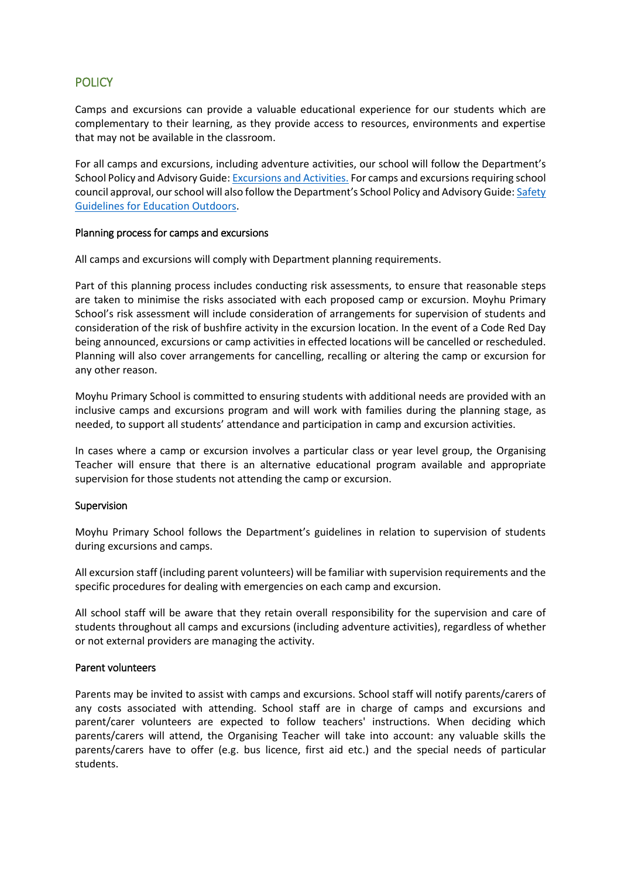# **POLICY**

Camps and excursions can provide a valuable educational experience for our students which are complementary to their learning, as they provide access to resources, environments and expertise that may not be available in the classroom.

For all camps and excursions, including adventure activities, our school will follow the Department's School Policy and Advisory Guide[: Excursions and Activities.](http://www.education.vic.gov.au/school/principals/spag/safety/pages/excursions.aspx) For camps and excursions requiring school council approval, our school will also follow the Department's School Policy and Advisory Guide: Safety [Guidelines for Education Outdoors.](https://www.education.vic.gov.au/school/teachers/studentmanagement/excursions/Pages/outdoorguidelines.aspx)

## Planning process for camps and excursions

All camps and excursions will comply with Department planning requirements.

Part of this planning process includes conducting risk assessments, to ensure that reasonable steps are taken to minimise the risks associated with each proposed camp or excursion. Moyhu Primary School's risk assessment will include consideration of arrangements for supervision of students and consideration of the risk of bushfire activity in the excursion location. In the event of a Code Red Day being announced, excursions or camp activities in effected locations will be cancelled or rescheduled. Planning will also cover arrangements for cancelling, recalling or altering the camp or excursion for any other reason.

Moyhu Primary School is committed to ensuring students with additional needs are provided with an inclusive camps and excursions program and will work with families during the planning stage, as needed, to support all students' attendance and participation in camp and excursion activities.

In cases where a camp or excursion involves a particular class or year level group, the Organising Teacher will ensure that there is an alternative educational program available and appropriate supervision for those students not attending the camp or excursion.

# Supervision

Moyhu Primary School follows the Department's guidelines in relation to supervision of students during excursions and camps.

All excursion staff (including parent volunteers) will be familiar with supervision requirements and the specific procedures for dealing with emergencies on each camp and excursion.

All school staff will be aware that they retain overall responsibility for the supervision and care of students throughout all camps and excursions (including adventure activities), regardless of whether or not external providers are managing the activity.

## Parent volunteers

Parents may be invited to assist with camps and excursions. School staff will notify parents/carers of any costs associated with attending. School staff are in charge of camps and excursions and parent/carer volunteers are expected to follow teachers' instructions. When deciding which parents/carers will attend, the Organising Teacher will take into account: any valuable skills the parents/carers have to offer (e.g. bus licence, first aid etc.) and the special needs of particular students.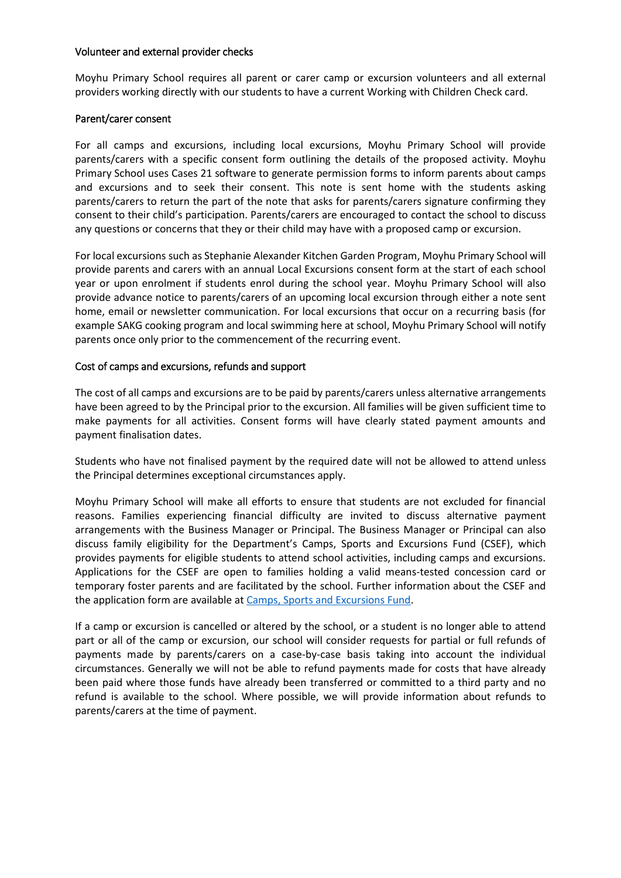## Volunteer and external provider checks

Moyhu Primary School requires all parent or carer camp or excursion volunteers and all external providers working directly with our students to have a current Working with Children Check card.

## Parent/carer consent

For all camps and excursions, including local excursions, Moyhu Primary School will provide parents/carers with a specific consent form outlining the details of the proposed activity. Moyhu Primary School uses Cases 21 software to generate permission forms to inform parents about camps and excursions and to seek their consent. This note is sent home with the students asking parents/carers to return the part of the note that asks for parents/carers signature confirming they consent to their child's participation. Parents/carers are encouraged to contact the school to discuss any questions or concerns that they or their child may have with a proposed camp or excursion.

For local excursions such as Stephanie Alexander Kitchen Garden Program, Moyhu Primary School will provide parents and carers with an annual Local Excursions consent form at the start of each school year or upon enrolment if students enrol during the school year. Moyhu Primary School will also provide advance notice to parents/carers of an upcoming local excursion through either a note sent home, email or newsletter communication. For local excursions that occur on a recurring basis (for example SAKG cooking program and local swimming here at school, Moyhu Primary School will notify parents once only prior to the commencement of the recurring event.

## Cost of camps and excursions, refunds and support

The cost of all camps and excursions are to be paid by parents/carers unless alternative arrangements have been agreed to by the Principal prior to the excursion. All families will be given sufficient time to make payments for all activities. Consent forms will have clearly stated payment amounts and payment finalisation dates.

Students who have not finalised payment by the required date will not be allowed to attend unless the Principal determines exceptional circumstances apply.

Moyhu Primary School will make all efforts to ensure that students are not excluded for financial reasons. Families experiencing financial difficulty are invited to discuss alternative payment arrangements with the Business Manager or Principal. The Business Manager or Principal can also discuss family eligibility for the Department's Camps, Sports and Excursions Fund (CSEF), which provides payments for eligible students to attend school activities, including camps and excursions. Applications for the CSEF are open to families holding a valid means-tested concession card or temporary foster parents and are facilitated by the school. Further information about the CSEF and the application form are available at [Camps, Sports and Excursions Fund.](http://www.education.vic.gov.au/about/programs/Pages/csef.aspx)

If a camp or excursion is cancelled or altered by the school, or a student is no longer able to attend part or all of the camp or excursion, our school will consider requests for partial or full refunds of payments made by parents/carers on a case-by-case basis taking into account the individual circumstances. Generally we will not be able to refund payments made for costs that have already been paid where those funds have already been transferred or committed to a third party and no refund is available to the school. Where possible, we will provide information about refunds to parents/carers at the time of payment.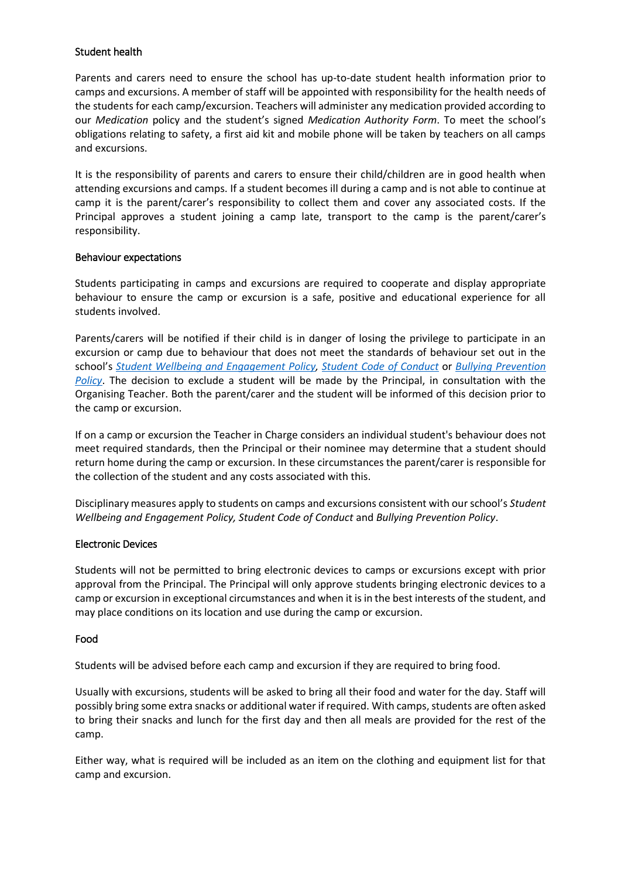## Student health

Parents and carers need to ensure the school has up-to-date student health information prior to camps and excursions. A member of staff will be appointed with responsibility for the health needs of the students for each camp/excursion. Teachers will administer any medication provided according to our *Medication* policy and the student's signed *Medication Authority Form*. To meet the school's obligations relating to safety, a first aid kit and mobile phone will be taken by teachers on all camps and excursions.

It is the responsibility of parents and carers to ensure their child/children are in good health when attending excursions and camps. If a student becomes ill during a camp and is not able to continue at camp it is the parent/carer's responsibility to collect them and cover any associated costs. If the Principal approves a student joining a camp late, transport to the camp is the parent/carer's responsibility.

## Behaviour expectations

Students participating in camps and excursions are required to cooperate and display appropriate behaviour to ensure the camp or excursion is a safe, positive and educational experience for all students involved.

Parents/carers will be notified if their child is in danger of losing the privilege to participate in an excursion or camp due to behaviour that does not meet the standards of behaviour set out in the school's *[Student Wellbeing and Engagement Policy,](https://secureservercdn.net/198.71.233.44/6mp.adb.myftpupload.com/wp-content/uploads/2019/11/Student-Wellbeing-and-Engagement-2019-2020.pdf) [Student Code of Conduct](https://secureservercdn.net/198.71.233.44/6mp.adb.myftpupload.com/wp-content/uploads/2019/11/Child-Safety-Code-of-Conduct.pdf)* or *[Bullying Prevention](https://secureservercdn.net/198.71.233.44/6mp.adb.myftpupload.com/wp-content/uploads/2019/11/Bullying-Prevention-Policy.pdf)  [Policy](https://secureservercdn.net/198.71.233.44/6mp.adb.myftpupload.com/wp-content/uploads/2019/11/Bullying-Prevention-Policy.pdf)*. The decision to exclude a student will be made by the Principal, in consultation with the Organising Teacher. Both the parent/carer and the student will be informed of this decision prior to the camp or excursion.

If on a camp or excursion the Teacher in Charge considers an individual student's behaviour does not meet required standards, then the Principal or their nominee may determine that a student should return home during the camp or excursion. In these circumstances the parent/carer is responsible for the collection of the student and any costs associated with this.

Disciplinary measures apply to students on camps and excursions consistent with our school's *Student Wellbeing and Engagement Policy, Student Code of Conduct* and *Bullying Prevention Policy*.

## Electronic Devices

Students will not be permitted to bring electronic devices to camps or excursions except with prior approval from the Principal. The Principal will only approve students bringing electronic devices to a camp or excursion in exceptional circumstances and when it is in the best interests of the student, and may place conditions on its location and use during the camp or excursion.

## Food

Students will be advised before each camp and excursion if they are required to bring food.

Usually with excursions, students will be asked to bring all their food and water for the day. Staff will possibly bring some extra snacks or additional water if required. With camps, students are often asked to bring their snacks and lunch for the first day and then all meals are provided for the rest of the camp.

Either way, what is required will be included as an item on the clothing and equipment list for that camp and excursion.